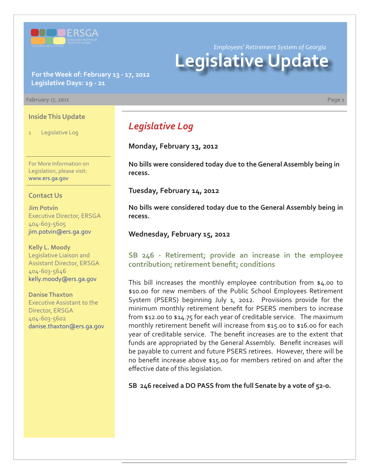

*Employees' Retirement System of Georgia*

# **Legislative Update**

**For the Week of: February 13 - 17, 2012 Legislative Days: 19 - 21**

**February 17, 2012 Page 1**

#### **Inside This Update**

1 Legislative Log

For More Information on Legislation, please visit: www.ers.ga.gov

#### **Contact Us**

**Jim Potvin** Executive Director, ERSGA 404-603-5605 jim.potvin@ers.ga.gov

**Kelly L. Moody** Legislative Liaison and Assistant Director, ERSGA 404-603-5646 kelly.moody@ers.ga.gov

**Danise Thaxton** Executive Assistant to the Director, ERSGA 404-603-5602 danise.thaxton@ers.ga.gov

# *Legislative Log*

**Monday, February 13, 2012**

**No bills were considered today due to the General Assembly being in recess.**

**Tuesday, February 14, 2012**

**No bills were considered today due to the General Assembly being in recess.**

**Wednesday, February 15, 2012**

**[SB 246 - Retirement; provide an increase in the employee](http://www.legis.ga.gov/legislation/en-US/Display/20112012/SB/246)**  contribution; retirement benefit; conditions

This bill increases the monthly employee contribution from \$4.00 to \$10.00 for new members of the Public School Employees Retirement System (PSERS) beginning July 1, 2012. Provisions provide for the minimum monthly retirement benefit for PSERS members to increase from \$12.00 to \$14.75 for each year of creditable service. The maximum monthly retirement benefit will increase from \$15.00 to \$16.00 for each year of creditable service. The benefit increases are to the extent that funds are appropriated by the General Assembly. Benefit increases will be payable to current and future PSERS retirees. However, there will be no benefit increase above \$15.00 for members retired on and after the effective date of this legislation.

**SB 246 received a DO PASS from the full Senate by a vote of 52-0.**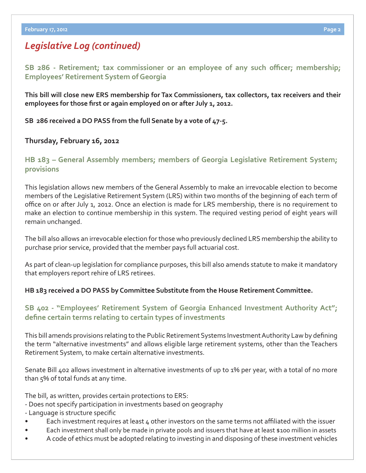## *Legislative Log (continued)*

**[SB 286 - Retirement; tax commissioner or an employee of any such o](http://www.legis.ga.gov/legislation/en-US/Display/20112012/SB/286)fficer; membership; Employees' Retirement System of Georgia**

**This bill will close new ERS membership for Tax Commissioners, tax collectors, tax receivers and their**  employees for those first or again employed on or after July 1, 2012.

#### **SB 286 received a DO PASS from the full Senate by a vote of 47-5.**

### **Thursday, February 16, 2012**

**[HB 183 – General Assembly members; members of Georgia Legislative Retirement System;](http://www.legis.ga.gov/legislation/en-US/Display/20112012/HB/183)  provisions**

This legislation allows new members of the General Assembly to make an irrevocable election to become members of the Legislative Retirement System (LRS) within two months of the beginning of each term of office on or after July 1, 2012. Once an election is made for LRS membership, there is no requirement to make an election to continue membership in this system. The required vesting period of eight years will remain unchanged.

The bill also allows an irrevocable election for those who previously declined LRS membership the ability to purchase prior service, provided that the member pays full actuarial cost.

As part of clean-up legislation for compliance purposes, this bill also amends statute to make it mandatory that employers report rehire of LRS retirees.

### **HB 183 received a DO PASS by Committee Substitute from the House Retirement Committee.**

## **[SB 402 - "Employees' Retirement System of Georgia Enhanced Investment Authority Act";](http://www.legis.ga.gov/legislation/en-US/Display/20112012/SB/402)**  define certain terms relating to certain types of investments

This bill amends provisions relating to the Public Retirement Systems Investment Authority Law by defining the term "alternative investments" and allows eligible large retirement systems, other than the Teachers Retirement System, to make certain alternative investments.

Senate Bill 402 allows investment in alternative investments of up to 1% per year, with a total of no more than 5% of total funds at any time.

The bill, as written, provides certain protections to ERS:

- Does not specify participation in investments based on geography
- Language is structure specific
- Each investment requires at least 4 other investors on the same terms not affiliated with the issuer
- Each investment shall only be made in private pools and issuers that have at least \$100 million in assets
- A code of ethics must be adopted relating to investing in and disposing of these investment vehicles